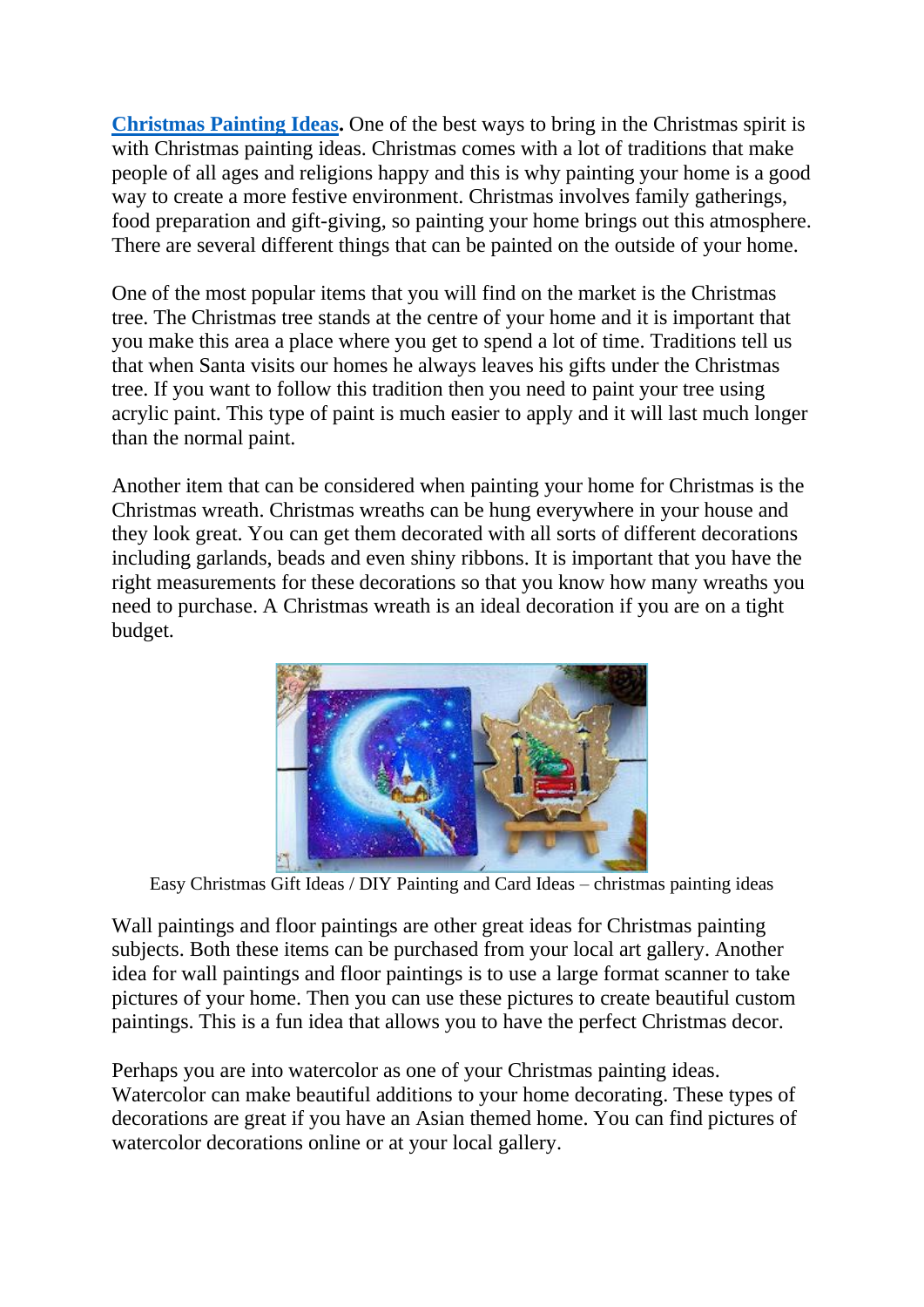**[Christmas Painting Ideas.](https://www.painterslegend.com/2022/03/christmas-painting-ideas.html)** One of the best ways to bring in the Christmas spirit is with Christmas painting ideas. Christmas comes with a lot of traditions that make people of all ages and religions happy and this is why painting your home is a good way to create a more festive environment. Christmas involves family gatherings, food preparation and gift-giving, so painting your home brings out this atmosphere. There are several different things that can be painted on the outside of your home.

One of the most popular items that you will find on the market is the Christmas tree. The Christmas tree stands at the centre of your home and it is important that you make this area a place where you get to spend a lot of time. Traditions tell us that when Santa visits our homes he always leaves his gifts under the Christmas tree. If you want to follow this tradition then you need to paint your tree using acrylic paint. This type of paint is much easier to apply and it will last much longer than the normal paint.

Another item that can be considered when painting your home for Christmas is the Christmas wreath. Christmas wreaths can be hung everywhere in your house and they look great. You can get them decorated with all sorts of different decorations including garlands, beads and even shiny ribbons. It is important that you have the right measurements for these decorations so that you know how many wreaths you need to purchase. A Christmas wreath is an ideal decoration if you are on a tight budget.



Easy Christmas Gift Ideas / DIY Painting and Card Ideas – christmas painting ideas

Wall paintings and floor paintings are other great ideas for Christmas painting subjects. Both these items can be purchased from your local art gallery. Another idea for wall paintings and floor paintings is to use a large format scanner to take pictures of your home. Then you can use these pictures to create beautiful custom paintings. This is a fun idea that allows you to have the perfect Christmas decor.

Perhaps you are into watercolor as one of your Christmas painting ideas. Watercolor can make beautiful additions to your home decorating. These types of decorations are great if you have an Asian themed home. You can find pictures of watercolor decorations online or at your local gallery.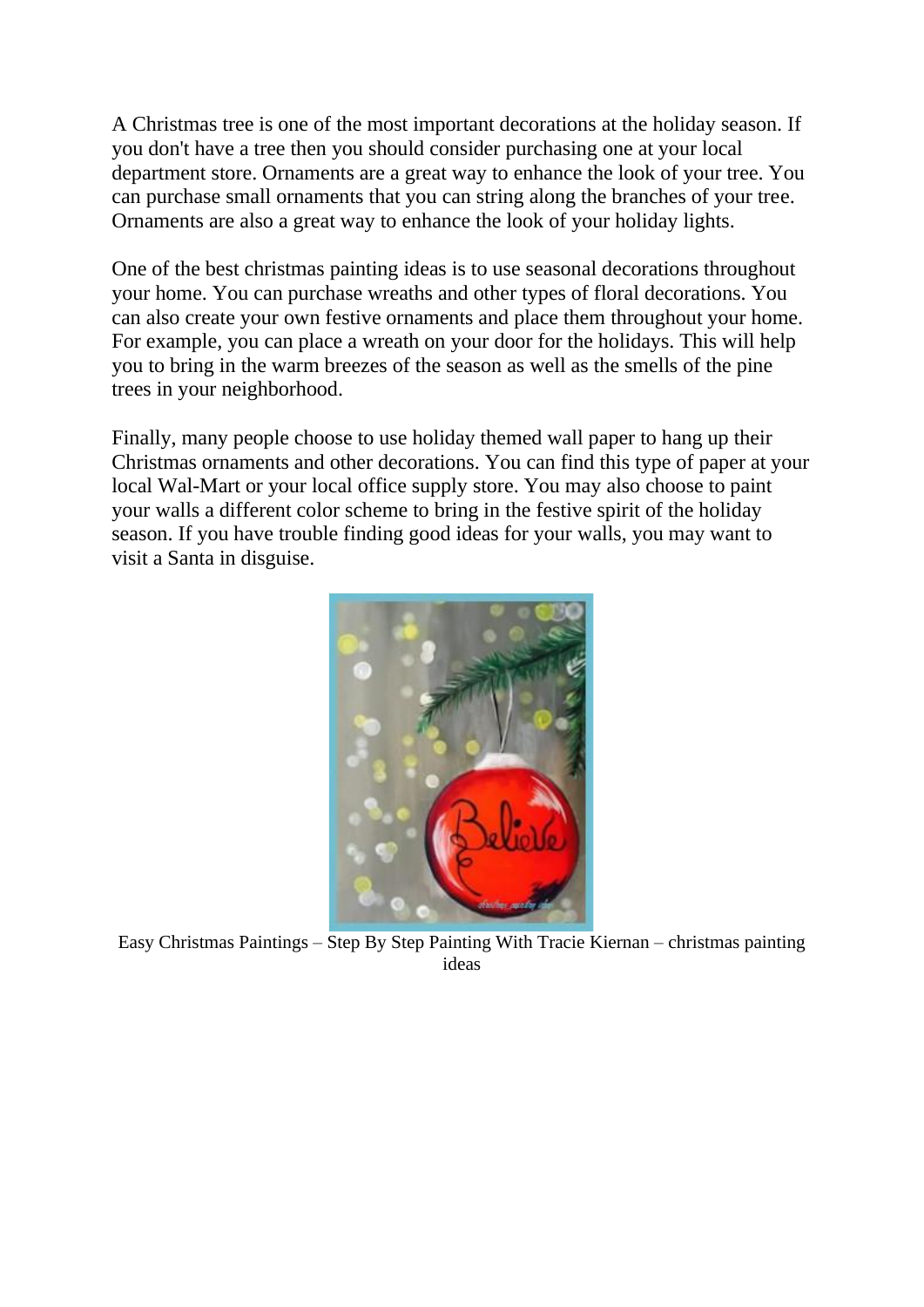A Christmas tree is one of the most important decorations at the holiday season. If you don't have a tree then you should consider purchasing one at your local department store. Ornaments are a great way to enhance the look of your tree. You can purchase small ornaments that you can string along the branches of your tree. Ornaments are also a great way to enhance the look of your holiday lights.

One of the best christmas painting ideas is to use seasonal decorations throughout your home. You can purchase wreaths and other types of floral decorations. You can also create your own festive ornaments and place them throughout your home. For example, you can place a wreath on your door for the holidays. This will help you to bring in the warm breezes of the season as well as the smells of the pine trees in your neighborhood.

Finally, many people choose to use holiday themed wall paper to hang up their Christmas ornaments and other decorations. You can find this type of paper at your local Wal-Mart or your local office supply store. You may also choose to paint your walls a different color scheme to bring in the festive spirit of the holiday season. If you have trouble finding good ideas for your walls, you may want to visit a Santa in disguise.



Easy Christmas Paintings – Step By Step Painting With Tracie Kiernan – christmas painting ideas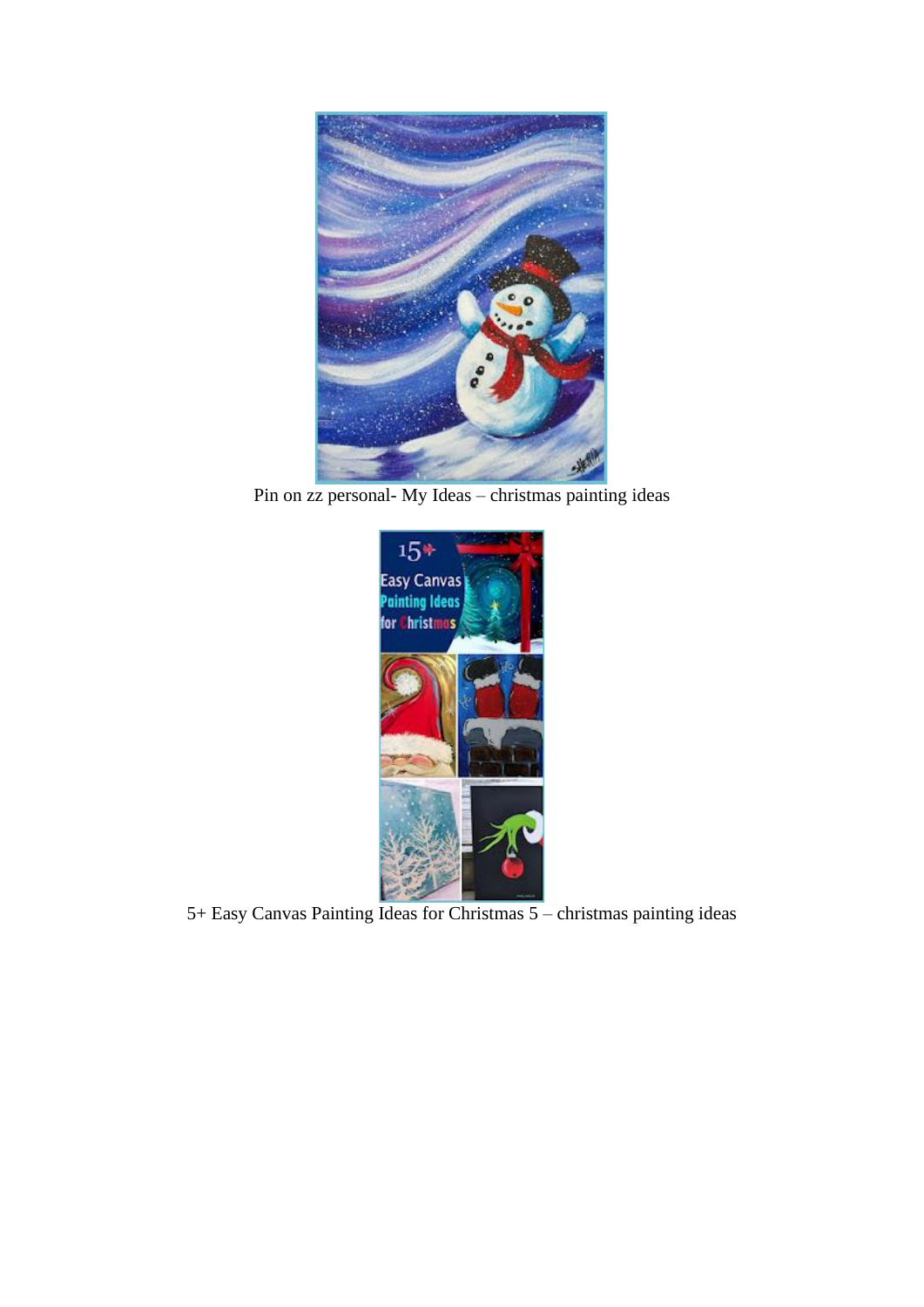

Pin on zz personal- My Ideas – christmas painting ideas



5+ Easy Canvas Painting Ideas for Christmas 5 – christmas painting ideas